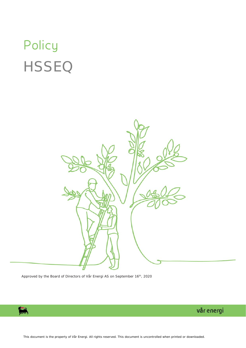# Policy **HSSEQ**



Approved by the Board of Directors of Vår Energi AS on September 16<sup>th</sup>, 2020

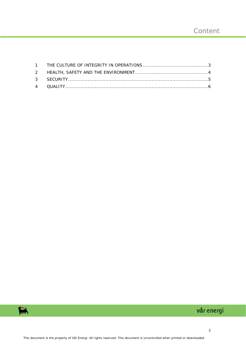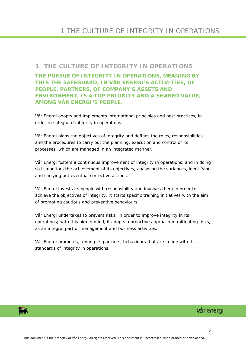#### <span id="page-2-0"></span>**1 THE CULTURE OF INTEGRITY IN OPERATIONS**

**THE PURSUE OF INTEGRITY IN OPERATIONS, MEANING BY THIS THE SAFEGUARD, IN VÅR ENERGI'S ACTIVITIES, OF PEOPLE, PARTNERS, OF COMPANY'S ASSETS AND ENVIRONMENT, IS A TOP PRIORITY AND A SHARED VALUE, AMONG VÅR ENERGI'S PEOPLE.**

Vår Energi adopts and implements international principles and best practices, in order to safeguard integrity in operations.

Vår Energi plans the objectives of integrity and defines the roles, responsibilities and the procedures to carry out the planning, execution and control of its processes, which are managed in an integrated manner.

Vår Energi fosters a continuous improvement of integrity in operations, and in doing so it monitors the achievement of its objectives, analysing the variances, identifying and carrying out eventual corrective actions.

Vår Energi invests its people with responsibility and involves them in order to achieve the objectives of integrity. It starts specific training initiatives with the aim of promoting cautious and preventive behaviours.

Vår Energi undertakes to prevent risks, in order to improve integrity in its operations; with this aim in mind, it adopts a proactive approach in mitigating risks, as an integral part of management and business activities.

Vår Energi promotes, among its partners, behaviours that are in line with its standards of integrity in operations.

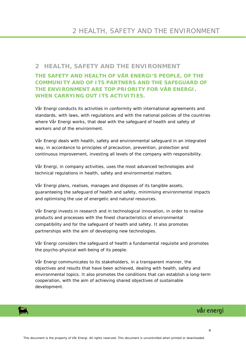#### <span id="page-3-0"></span>**2 HEALTH, SAFETY AND THE ENVIRONMENT**

**THE SAFETY AND HEALTH OF VÅR ENERGI'S PEOPLE, OF THE COMMUNITY AND OF ITS PARTNERS AND THE SAFEGUARD OF THE ENVIRONMENT ARE TOP PRIORITY FOR VÅR ENERGI, WHEN CARRYING OUT ITS ACTIVITIES.**

Vår Energi conducts its activities in conformity with international agreements and standards, with laws, with regulations and with the national policies of the countries where Vår Energi works, that deal with the safeguard of health and safety of workers and of the environment.

Vår Energi deals with health, safety and environmental safeguard in an integrated way, in accordance to principles of precaution, prevention, protection and continuous improvement, investing all levels of the company with responsibility.

Vår Energi, in company activities, uses the most advanced technologies and technical regulations in health, safety and environmental matters.

Vår Energi plans, realises, manages and disposes of its tangible assets, guaranteeing the safeguard of health and safety, minimising environmental impacts and optimising the use of energetic and natural resources.

Vår Energi invests in research and in technological innovation, in order to realise products and processes with the finest characteristics of environmental compatibility and for the safeguard of health and safety. It also promotes partnerships with the aim of developing new technologies.

Vår Energi considers the safeguard of health a fundamental requisite and promotes the psycho-physical well-being of its people.

Vår Energi communicates to its stakeholders, in a transparent manner, the objectives and results that have been achieved, dealing with health, safety and environmental topics. It also promotes the conditions that can establish a long-term cooperation, with the aim of achieving shared objectives of sustainable development.

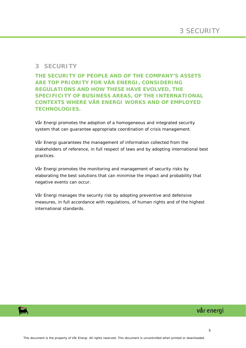#### <span id="page-4-0"></span>**3 SECURITY**

#### **THE SECURITY OF PEOPLE AND OF THE COMPANY'S ASSETS ARE TOP PRIORITY FOR VÅR ENERGI, CONSIDERING REGULATIONS AND HOW THESE HAVE EVOLVED, THE SPECIFICITY OF BUSINESS AREAS, OF THE INTERNATIONAL CONTEXTS WHERE VÅR ENERGI WORKS AND OF EMPLOYED TECHNOLOGIES.**

Vår Energi promotes the adoption of a homogeneous and integrated security system that can guarantee appropriate coordination of crisis management.

Vår Energi guarantees the management of information collected from the stakeholders of reference, in full respect of laws and by adopting international best practices.

Vår Energi promotes the monitoring and management of security risks by elaborating the best solutions that can minimise the impact and probability that negative events can occur.

Vår Energi manages the security risk by adopting preventive and defensive measures, in full accordance with regulations, of human rights and of the highest international standards.